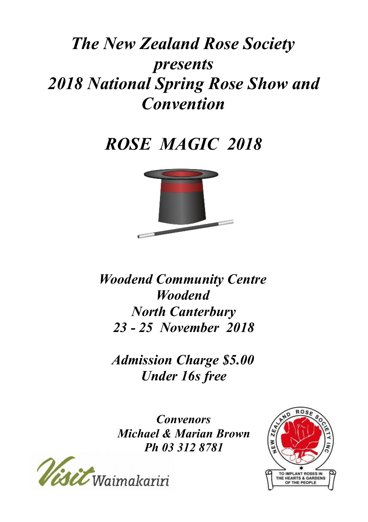# *The New Zealand Rose Society presents 2018 National Spring Rose Show and Convention*

# *ROSE MAGIC 2018*



*Woodend Community Centre Woodend North Canterbury 23 - 25 November 2018*

*Admission Charge \$5.00 Under 16s free*

*Convenors Michael & Marian Brown Ph 03 312 8781*



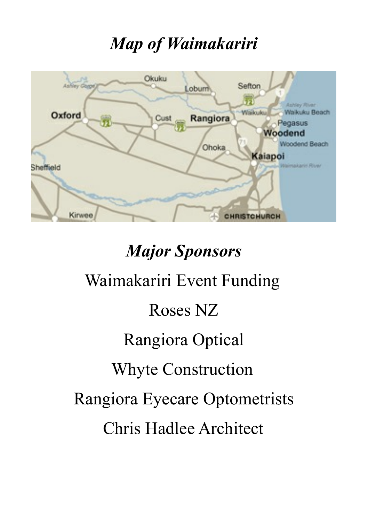# *Map of Waimakariri*



# *Major Sponsors*

# Waimakariri Event Funding Roses NZ Rangiora Optical Whyte Construction Rangiora Eyecare Optometrists Chris Hadlee Architect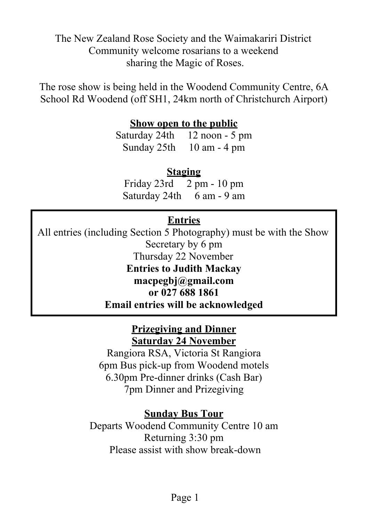The New Zealand Rose Society and the Waimakariri District Community welcome rosarians to a weekend sharing the Magic of Roses.

The rose show is being held in the Woodend Community Centre, 6A School Rd Woodend (off SH1, 24km north of Christchurch Airport)

### **Show open to the public**

Saturday 24th 12 noon - 5 pm Sunday 25th 10 am - 4 pm

### **Staging**

Friday 23rd 2 pm - 10 pm Saturday 24th 6 am - 9 am

### **Entries**

All entries (including Section 5 Photography) must be with the Show Secretary by 6 pm Thursday 22 November **Entries to Judith Mackay macpegbj@gmail.com or 027 688 1861 Email entries will be acknowledged**

### **Prizegiving and Dinner Saturday 24 November**

Rangiora RSA, Victoria St Rangiora 6pm Bus pick-up from Woodend motels 6.30pm Pre-dinner drinks (Cash Bar) 7pm Dinner and Prizegiving

### **Sunday Bus Tour**

Departs Woodend Community Centre 10 am Returning 3:30 pm Please assist with show break-down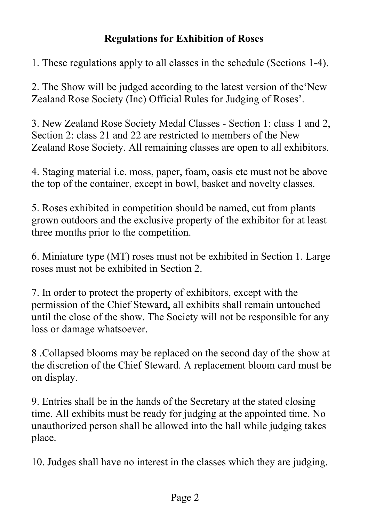### **Regulations for Exhibition of Roses**

1. These regulations apply to all classes in the schedule (Sections 1-4).

2. The Show will be judged according to the latest version of the'New Zealand Rose Society (Inc) Official Rules for Judging of Roses'.

3. New Zealand Rose Society Medal Classes - Section 1: class 1 and 2, Section 2: class 21 and 22 are restricted to members of the New Zealand Rose Society. All remaining classes are open to all exhibitors.

4. Staging material i.e. moss, paper, foam, oasis etc must not be above the top of the container, except in bowl, basket and novelty classes.

5. Roses exhibited in competition should be named, cut from plants grown outdoors and the exclusive property of the exhibitor for at least three months prior to the competition.

6. Miniature type (MT) roses must not be exhibited in Section 1. Large roses must not be exhibited in Section 2.

7. In order to protect the property of exhibitors, except with the permission of the Chief Steward, all exhibits shall remain untouched until the close of the show. The Society will not be responsible for any loss or damage whatsoever.

8 .Collapsed blooms may be replaced on the second day of the show at the discretion of the Chief Steward. A replacement bloom card must be on display.

9. Entries shall be in the hands of the Secretary at the stated closing time. All exhibits must be ready for judging at the appointed time. No unauthorized person shall be allowed into the hall while judging takes place.

10. Judges shall have no interest in the classes which they are judging.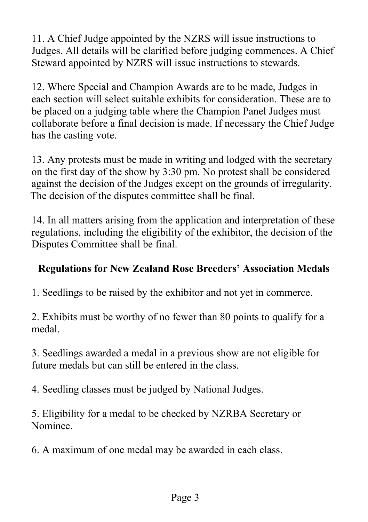11. A Chief Judge appointed by the NZRS will issue instructions to Judges. All details will be clarified before judging commences. A Chief Steward appointed by NZRS will issue instructions to stewards.

12. Where Special and Champion Awards are to be made, Judges in each section will select suitable exhibits for consideration. These are to be placed on a judging table where the Champion Panel Judges must collaborate before a final decision is made. If necessary the Chief Judge has the casting vote.

13. Any protests must be made in writing and lodged with the secretary on the first day of the show by 3:30 pm. No protest shall be considered against the decision of the Judges except on the grounds of irregularity. The decision of the disputes committee shall be final.

14. In all matters arising from the application and interpretation of these regulations, including the eligibility of the exhibitor, the decision of the Disputes Committee shall be final.

### **Regulations for New Zealand Rose Breeders' Association Medals**

1. Seedlings to be raised by the exhibitor and not yet in commerce.

2. Exhibits must be worthy of no fewer than 80 points to qualify for a medal.

3. Seedlings awarded a medal in a previous show are not eligible for future medals but can still be entered in the class.

4. Seedling classes must be judged by National Judges.

5. Eligibility for a medal to be checked by NZRBA Secretary or Nominee.

6. A maximum of one medal may be awarded in each class.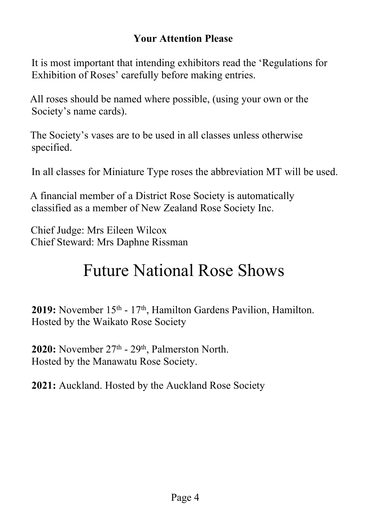### **Your Attention Please**

It is most important that intending exhibitors read the 'Regulations for Exhibition of Roses' carefully before making entries.

All roses should be named where possible, (using your own or the Society's name cards).

The Society's vases are to be used in all classes unless otherwise specified.

In all classes for Miniature Type roses the abbreviation MT will be used.

A financial member of a District Rose Society is automatically classified as a member of New Zealand Rose Society Inc.

Chief Judge: Mrs Eileen Wilcox Chief Steward: Mrs Daphne Rissman

## Future National Rose Shows

2019: November 15<sup>th</sup> - 17<sup>th</sup>, Hamilton Gardens Pavilion, Hamilton. Hosted by the Waikato Rose Society

2020: November 27<sup>th</sup> - 29<sup>th</sup>, Palmerston North. Hosted by the Manawatu Rose Society.

**2021:** Auckland. Hosted by the Auckland Rose Society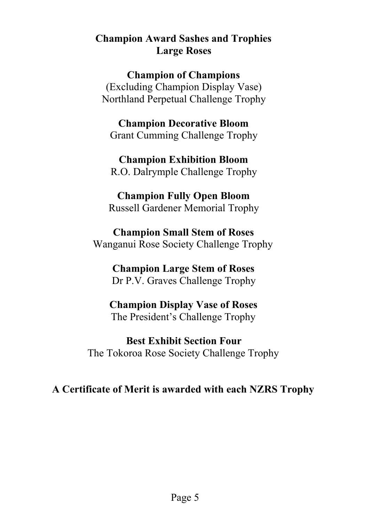### **Champion Award Sashes and Trophies Large Roses**

### **Champion of Champions**

(Excluding Champion Display Vase) Northland Perpetual Challenge Trophy

**Champion Decorative Bloom** Grant Cumming Challenge Trophy

**Champion Exhibition Bloom** R.O. Dalrymple Challenge Trophy

### **Champion Fully Open Bloom** Russell Gardener Memorial Trophy

**Champion Small Stem of Roses** Wanganui Rose Society Challenge Trophy

> **Champion Large Stem of Roses** Dr P.V. Graves Challenge Trophy

### **Champion Display Vase of Roses** The President's Challenge Trophy

**Best Exhibit Section Four** The Tokoroa Rose Society Challenge Trophy

**A Certificate of Merit is awarded with each NZRS Trophy**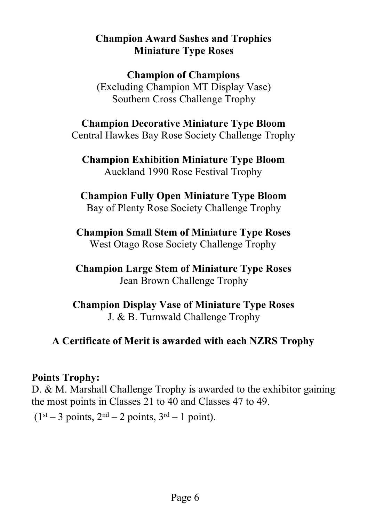### **Champion Award Sashes and Trophies Miniature Type Roses**

### **Champion of Champions**

(Excluding Champion MT Display Vase) Southern Cross Challenge Trophy

### **Champion Decorative Miniature Type Bloom**

Central Hawkes Bay Rose Society Challenge Trophy

**Champion Exhibition Miniature Type Bloom** Auckland 1990 Rose Festival Trophy

### **Champion Fully Open Miniature Type Bloom**

Bay of Plenty Rose Society Challenge Trophy

**Champion Small Stem of Miniature Type Roses** West Otago Rose Society Challenge Trophy

**Champion Large Stem of Miniature Type Roses** Jean Brown Challenge Trophy

**Champion Display Vase of Miniature Type Roses** J. & B. Turnwald Challenge Trophy

### **A Certificate of Merit is awarded with each NZRS Trophy**

### **Points Trophy:**

D. & M. Marshall Challenge Trophy is awarded to the exhibitor gaining the most points in Classes 21 to 40 and Classes 47 to 49.

 $(1<sup>st</sup> - 3 points, 2<sup>nd</sup> - 2 points, 3<sup>rd</sup> - 1 point).$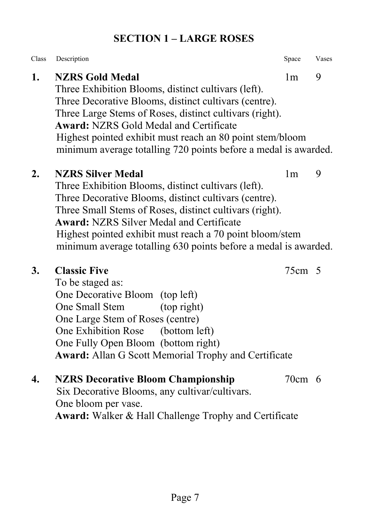### **SECTION 1 – LARGE ROSES**

| Class | Description                                                                                                                                                                                                                                                                                                                                                                           | Space          | Vases |
|-------|---------------------------------------------------------------------------------------------------------------------------------------------------------------------------------------------------------------------------------------------------------------------------------------------------------------------------------------------------------------------------------------|----------------|-------|
| 1.    | <b>NZRS Gold Medal</b><br>Three Exhibition Blooms, distinct cultivars (left).<br>Three Decorative Blooms, distinct cultivars (centre).<br>Three Large Stems of Roses, distinct cultivars (right).<br><b>Award: NZRS Gold Medal and Certificate</b><br>Highest pointed exhibit must reach an 80 point stem/bloom<br>minimum average totalling 720 points before a medal is awarded.    | 1 <sub>m</sub> | 9     |
| 2.    | <b>NZRS Silver Medal</b><br>Three Exhibition Blooms, distinct cultivars (left).<br>Three Decorative Blooms, distinct cultivars (centre).<br>Three Small Stems of Roses, distinct cultivars (right).<br><b>Award: NZRS Silver Medal and Certificate</b><br>Highest pointed exhibit must reach a 70 point bloom/stem<br>minimum average totalling 630 points before a medal is awarded. | 1 <sub>m</sub> | 9     |
| 3.    | <b>Classic Five</b><br>To be staged as:<br>One Decorative Bloom (top left)<br>(top right)<br>One Small Stem<br>One Large Stem of Roses (centre)<br>One Exhibition Rose<br>(bottom left)<br>One Fully Open Bloom (bottom right)<br><b>Award:</b> Allan G Scott Memorial Trophy and Certificate                                                                                         | 75cm 5         |       |
| 4.    | <b>NZRS Decorative Bloom Championship</b><br>Six Decorative Blooms, any cultivar/cultivars.<br>One bloom per vase.<br>Award: Walker & Hall Challenge Trophy and Certificate                                                                                                                                                                                                           | 70cm 6         |       |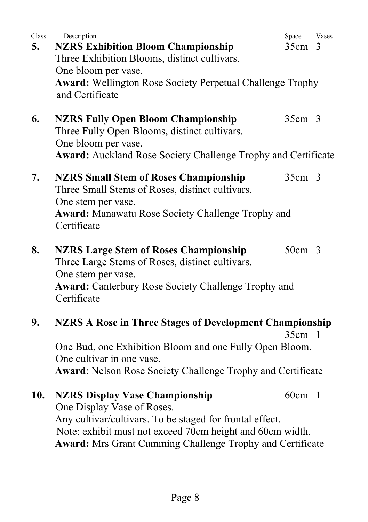| Class<br>5. | Description<br><b>NZRS Exhibition Bloom Championship</b><br>Three Exhibition Blooms, distinct cultivars.<br>One bloom per vase.<br><b>Award: Wellington Rose Society Perpetual Challenge Trophy</b><br>and Certificate       | Space<br>35cm <sub>3</sub> | Vases |
|-------------|------------------------------------------------------------------------------------------------------------------------------------------------------------------------------------------------------------------------------|----------------------------|-------|
| 6.          | <b>NZRS Fully Open Bloom Championship</b><br>Three Fully Open Blooms, distinct cultivars.<br>One bloom per vase.<br><b>Award:</b> Auckland Rose Society Challenge Trophy and Certificate                                     | 35cm <sub>3</sub>          |       |
| 7.          | <b>NZRS Small Stem of Roses Championship</b><br>Three Small Stems of Roses, distinct cultivars.<br>One stem per vase.<br><b>Award:</b> Manawatu Rose Society Challenge Trophy and<br>Certificate                             | 35cm <sub>3</sub>          |       |
| 8.          | <b>NZRS Large Stem of Roses Championship</b><br>Three Large Stems of Roses, distinct cultivars.<br>One stem per vase.<br><b>Award:</b> Canterbury Rose Society Challenge Trophy and<br>Certificate                           | $50cm$ 3                   |       |
| 9.          | <b>NZRS A Rose in Three Stages of Development Championship</b><br>One Bud, one Exhibition Bloom and one Fully Open Bloom.<br>One cultivar in one vase.<br><b>Award:</b> Nelson Rose Society Challenge Trophy and Certificate | $35cm$ 1                   |       |
| 10.         | <b>NZRS Display Vase Championship</b><br>One Display Vase of Roses.<br>Any cultivar/cultivars. To be staged for frontal effect.                                                                                              | $60cm$ 1                   |       |

Note: exhibit must not exceed 70cm height and 60cm width. **Award:** Mrs Grant Cumming Challenge Trophy and Certificate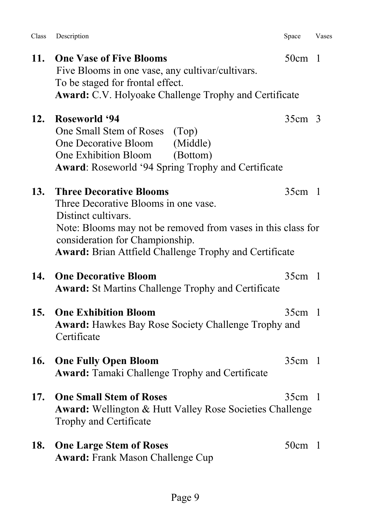| Page 9 |  |
|--------|--|

- **12. Roseworld '94** 35cm 3 One Small Stem of Roses (Top) One Decorative Bloom (Middle) One Exhibition Bloom (Bottom) **Award**: Roseworld '94 Spring Trophy and Certificate **13. Three Decorative Blooms** 35cm 1 Three Decorative Blooms in one vase. Distinct cultivars. Note: Blooms may not be removed from vases in this class for consideration for Championship. **Award:** Brian Attfield Challenge Trophy and Certificate **14. One Decorative Bloom** 35cm 1 **Award:** St Martins Challenge Trophy and Certificate **15. One Exhibition Bloom** 35cm 1 **Award:** Hawkes Bay Rose Society Challenge Trophy and **Certificate 16. One Fully Open Bloom** 35cm 1 **Award:** Tamaki Challenge Trophy and Certificate **17. One Small Stem of Roses** 35cm 1 **Award:** Wellington & Hutt Valley Rose Societies Challenge Trophy and Certificate **18.** One Large Stem of Roses 50cm 1 **Award:** Frank Mason Challenge Cup
- **11. One Vase of Five Blooms** 50cm 1 Five Blooms in one vase, any cultivar/cultivars. To be staged for frontal effect. **Award:** C.V. Holyoake Challenge Trophy and Certificate

Class Description Space Vases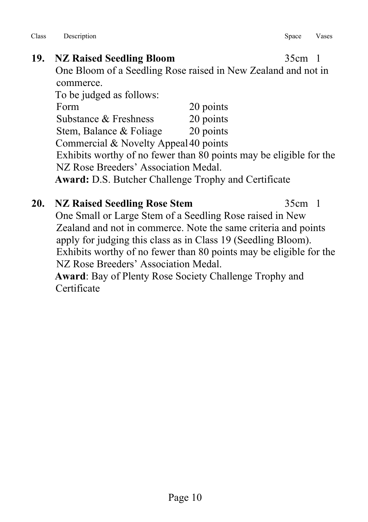### **19. NZ Raised Seedling Bloom** 35cm 1 One Bloom of a Seedling Rose raised in New Zealand and not in commerce. To be judged as follows: Form 20 points Substance & Freshness 20 points Stem, Balance & Foliage 20 points Commercial & Novelty Appeal 40 points Exhibits worthy of no fewer than 80 points may be eligible for the NZ Rose Breeders' Association Medal. **Award:** D.S. Butcher Challenge Trophy and Certificate

### **20. NZ Raised Seedling Rose Stem** 35cm 1 One Small or Large Stem of a Seedling Rose raised in New Zealand and not in commerce. Note the same criteria and points apply for judging this class as in Class 19 (Seedling Bloom). Exhibits worthy of no fewer than 80 points may be eligible for the NZ Rose Breeders' Association Medal. **Award**: Bay of Plenty Rose Society Challenge Trophy and **Certificate**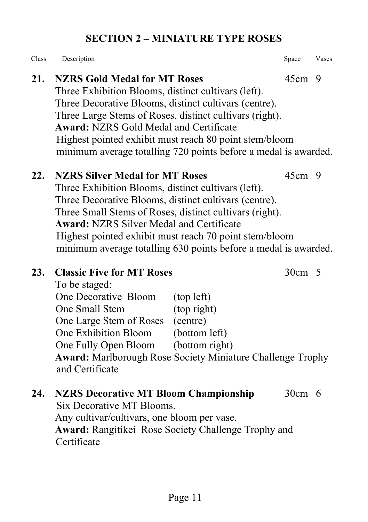### **SECTION 2 – MINIATURE TYPE ROSES**

Class Description **Space Vases** Space Vases

### **21. NZRS Gold Medal for MT Roses** 45cm 9

Three Exhibition Blooms, distinct cultivars (left). Three Decorative Blooms, distinct cultivars (centre). Three Large Stems of Roses, distinct cultivars (right). **Award:** NZRS Gold Medal and Certificate Highest pointed exhibit must reach 80 point stem/bloom minimum average totalling 720 points before a medal is awarded.

### **22. NZRS Silver Medal for MT Roses** 45cm 9

Three Exhibition Blooms, distinct cultivars (left). Three Decorative Blooms, distinct cultivars (centre). Three Small Stems of Roses, distinct cultivars (right). **Award:** NZRS Silver Medal and Certificate Highest pointed exhibit must reach 70 point stem/bloom minimum average totalling 630 points before a medal is awarded.

### **23. Classic Five for MT Roses** 30cm 5

To be staged: One Decorative Bloom (top left) One Small Stem (top right) One Large Stem of Roses (centre) One Exhibition Bloom (bottom left) One Fully Open Bloom (bottom right) **Award:** Marlborough Rose Society Miniature Challenge Trophy and Certificate

### **24. NZRS Decorative MT Bloom Championship** 30cm 6 Six Decorative MT Blooms. Any cultivar/cultivars, one bloom per vase. **Award:** Rangitikei Rose Society Challenge Trophy and Certificate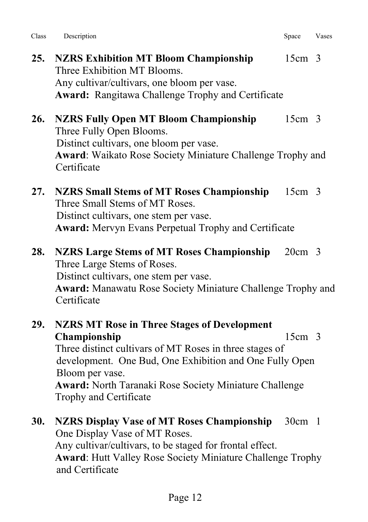| Class | Description | Space | Vases |
|-------|-------------|-------|-------|
|       |             |       |       |

- **25. NZRS Exhibition MT Bloom Championship** 15cm 3 Three Exhibition MT Blooms. Any cultivar/cultivars, one bloom per vase. **Award:** Rangitawa Challenge Trophy and Certificate
- **26. NZRS Fully Open MT Bloom Championship** 15cm 3 Three Fully Open Blooms. Distinct cultivars, one bloom per vase. **Award**: Waikato Rose Society Miniature Challenge Trophy and **Certificate**
- **27. NZRS Small Stems of MT Roses Championship** 15cm 3 Three Small Stems of MT Roses. Distinct cultivars, one stem per vase. **Award:** Mervyn Evans Perpetual Trophy and Certificate
- **28. NZRS Large Stems of MT Roses Championship** 20cm 3 Three Large Stems of Roses. Distinct cultivars, one stem per vase. **Award:** Manawatu Rose Society Miniature Challenge Trophy and Certificate
- **29. NZRS MT Rose in Three Stages of Development Championship** 15cm 3 Three distinct cultivars of MT Roses in three stages of development. One Bud, One Exhibition and One Fully Open Bloom per vase. **Award:** North Taranaki Rose Society Miniature Challenge Trophy and Certificate
- **30. NZRS Display Vase of MT Roses Championship** 30cm 1 One Display Vase of MT Roses. Any cultivar/cultivars, to be staged for frontal effect. **Award**: Hutt Valley Rose Society Miniature Challenge Trophy and Certificate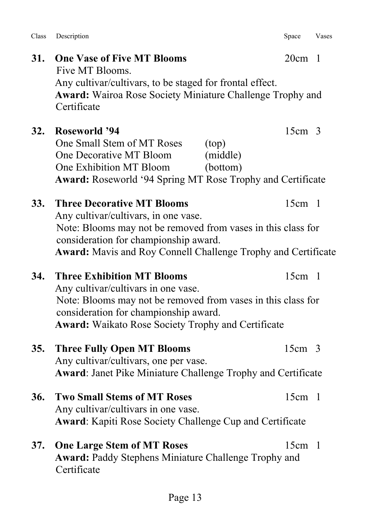Class Description Space Vases

Five MT Blooms.

|     | Any cultivar/cultivars, to be staged for frontal effect.<br>Award: Wairoa Rose Society Miniature Challenge Trophy and<br>Certificate                                                                                                                |                   |  |
|-----|-----------------------------------------------------------------------------------------------------------------------------------------------------------------------------------------------------------------------------------------------------|-------------------|--|
| 32. | <b>Roseworld '94</b><br>One Small Stem of MT Roses<br>(top)<br>One Decorative MT Bloom<br>(middle)<br>One Exhibition MT Bloom<br>(bottom)<br>Award: Roseworld '94 Spring MT Rose Trophy and Certificate                                             | 15cm <sub>3</sub> |  |
| 33. | <b>Three Decorative MT Blooms</b><br>Any cultivar/cultivars, in one vase.<br>Note: Blooms may not be removed from vases in this class for<br>consideration for championship award.<br>Award: Mavis and Roy Connell Challenge Trophy and Certificate | $15cm$ 1          |  |
| 34. | <b>Three Exhibition MT Blooms</b><br>Any cultivar/cultivars in one vase.<br>Note: Blooms may not be removed from vases in this class for<br>consideration for championship award.<br><b>Award:</b> Waikato Rose Society Trophy and Certificate      | $15cm$ 1          |  |
| 35. | <b>Three Fully Open MT Blooms</b><br>Any cultivar/cultivars, one per vase.<br>Award: Janet Pike Miniature Challenge Trophy and Certificate                                                                                                          | $15cm$ 3          |  |
| 36. | <b>Two Small Stems of MT Roses</b><br>Any cultivar/cultivars in one vase.<br><b>Award:</b> Kapiti Rose Society Challenge Cup and Certificate                                                                                                        | $15cm$ 1          |  |
| 37. | <b>One Large Stem of MT Roses</b><br><b>Award: Paddy Stephens Miniature Challenge Trophy and</b><br>Certificate                                                                                                                                     | $15cm$ 1          |  |

**31. One Vase of Five MT Blooms** 20cm 1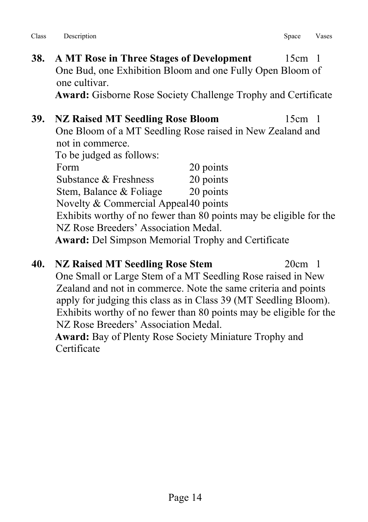- **38. A MT Rose in Three Stages of Development** 15cm 1 One Bud, one Exhibition Bloom and one Fully Open Bloom of one cultivar. **Award:** Gisborne Rose Society Challenge Trophy and Certificate
- **39. NZ Raised MT Seedling Rose Bloom** 15cm 1 One Bloom of a MT Seedling Rose raised in New Zealand and not in commerce. To be judged as follows: Form 20 points Substance & Freshness 20 points Stem, Balance & Foliage 20 points Novelty & Commercial Appeal 40 points Exhibits worthy of no fewer than 80 points may be eligible for the NZ Rose Breeders' Association Medal. **Award:** Del Simpson Memorial Trophy and Certificate
- **40. NZ Raised MT Seedling Rose Stem** 20cm 1 One Small or Large Stem of a MT Seedling Rose raised in New Zealand and not in commerce. Note the same criteria and points apply for judging this class as in Class 39 (MT Seedling Bloom). Exhibits worthy of no fewer than 80 points may be eligible for the NZ Rose Breeders' Association Medal. **Award:** Bay of Plenty Rose Society Miniature Trophy and

**Certificate**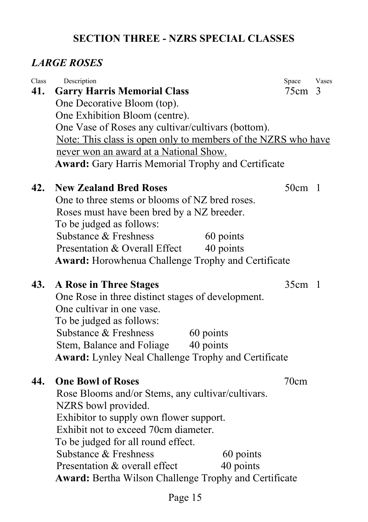### **SECTION THREE - NZRS SPECIAL CLASSES**

### *LARGE ROSES*

| Class | Description                                                   | Space    | Vases |  |
|-------|---------------------------------------------------------------|----------|-------|--|
| 41.   | <b>Garry Harris Memorial Class</b>                            | 75cm 3   |       |  |
|       | One Decorative Bloom (top).                                   |          |       |  |
|       | One Exhibition Bloom (centre).                                |          |       |  |
|       | One Vase of Roses any cultivar/cultivars (bottom).            |          |       |  |
|       | Note: This class is open only to members of the NZRS who have |          |       |  |
|       | never won an award at a National Show.                        |          |       |  |
|       | <b>Award:</b> Gary Harris Memorial Trophy and Certificate     |          |       |  |
| 42.   | <b>New Zealand Bred Roses</b>                                 | $50cm$ 1 |       |  |
|       | One to three stems or blooms of NZ bred roses.                |          |       |  |
|       | Roses must have been bred by a NZ breeder.                    |          |       |  |
|       | To be judged as follows:                                      |          |       |  |
|       | Substance & Freshness<br>60 points                            |          |       |  |
|       | Presentation & Overall Effect<br>40 points                    |          |       |  |
|       | <b>Award:</b> Horowhenua Challenge Trophy and Certificate     |          |       |  |
| 43.   | A Rose in Three Stages                                        | $35cm$ 1 |       |  |
|       | One Rose in three distinct stages of development.             |          |       |  |
|       | One cultivar in one vase.                                     |          |       |  |
|       | To be judged as follows:                                      |          |       |  |
|       | Substance & Freshness<br>60 points                            |          |       |  |
|       | 40 points<br>Stem, Balance and Foliage                        |          |       |  |
|       | <b>Award:</b> Lynley Neal Challenge Trophy and Certificate    |          |       |  |
| 44.   | <b>One Bowl of Roses</b>                                      | 70cm     |       |  |
|       | Rose Blooms and/or Stems, any cultivar/cultivars.             |          |       |  |
|       | NZRS bowl provided.                                           |          |       |  |
|       | Exhibitor to supply own flower support.                       |          |       |  |
|       | Exhibit not to exceed 70cm diameter.                          |          |       |  |
|       | To be judged for all round effect.                            |          |       |  |
|       | Substance & Freshness<br>60 points                            |          |       |  |
|       | 40 points<br>Presentation & overall effect                    |          |       |  |
|       | Award: Bertha Wilson Challenge Trophy and Certificate         |          |       |  |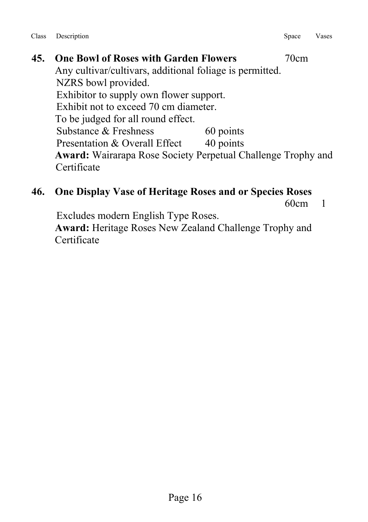**45. One Bowl of Roses with Garden Flowers** 70cm Any cultivar/cultivars, additional foliage is permitted. NZRS bowl provided. Exhibitor to supply own flower support. Exhibit not to exceed 70 cm diameter. To be judged for all round effect. Substance & Freshness 60 points Presentation & Overall Effect 40 points **Award:** Wairarapa Rose Society Perpetual Challenge Trophy and **Certificate** 

# **46. One Display Vase of Heritage Roses and or Species Roses**

60cm 1

Excludes modern English Type Roses.

 **Award:** Heritage Roses New Zealand Challenge Trophy and **Certificate**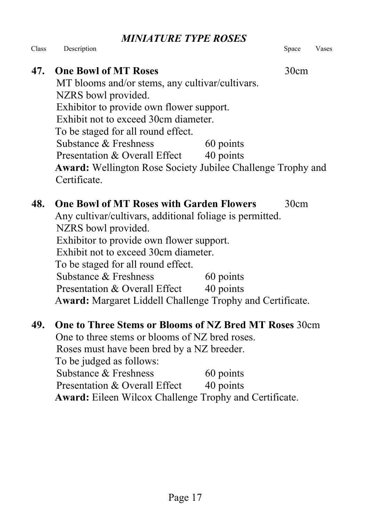*MINIATURE TYPE ROSES*

Class Description **Space Vases** Space Vases

### **47.** One Bowl of MT Roses 30cm

MT blooms and/or stems, any cultivar/cultivars. NZRS bowl provided. Exhibitor to provide own flower support. Exhibit not to exceed 30cm diameter. To be staged for all round effect. Substance & Freshness 60 points Presentation & Overall Effect 40 points **Award:** Wellington Rose Society Jubilee Challenge Trophy and Certificate.

### **48. One Bowl of MT Roses with Garden Flowers** 30cm Any cultivar/cultivars, additional foliage is permitted. NZRS bowl provided. Exhibitor to provide own flower support. Exhibit not to exceed 30cm diameter. To be staged for all round effect. Substance & Freshness 60 points Presentation & Overall Effect 40 points A**ward:** Margaret Liddell Challenge Trophy and Certificate.

### **49. One to Three Stems or Blooms of NZ Bred MT Roses** 30cm One to three stems or blooms of NZ bred roses. Roses must have been bred by a NZ breeder. To be judged as follows: Substance & Freshness 60 points Presentation & Overall Effect 40 points **Award:** Eileen Wilcox Challenge Trophy and Certificate.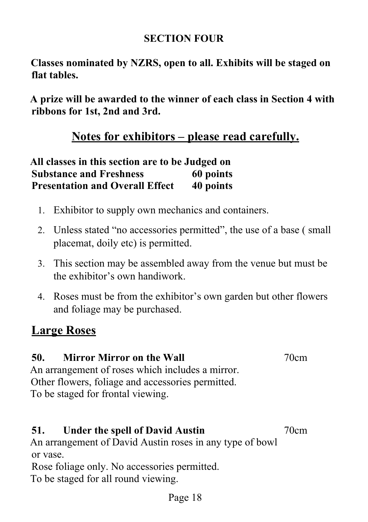### **SECTION FOUR**

**Classes nominated by NZRS, open to all. Exhibits will be staged on flat tables.**

**A prize will be awarded to the winner of each class in Section 4 with ribbons for 1st, 2nd and 3rd.**

### **Notes for exhibitors – please read carefully.**

| All classes in this section are to be Judged on |           |  |
|-------------------------------------------------|-----------|--|
| <b>Substance and Freshness</b>                  | 60 points |  |
| <b>Presentation and Overall Effect</b>          | 40 points |  |

- 1. Exhibitor to supply own mechanics and containers.
- 2. Unless stated "no accessories permitted", the use of a base ( small placemat, doily etc) is permitted.
- 3. This section may be assembled away from the venue but must be the exhibitor's own handiwork.
- 4. Roses must be from the exhibitor's own garden but other flowers and foliage may be purchased.

### **Large Roses**

### **50. Mirror Mirror on the Wall** 70cm

An arrangement of roses which includes a mirror. Other flowers, foliage and accessories permitted. To be staged for frontal viewing.

### **51. Under the spell of David Austin** 70cm

An arrangement of David Austin roses in any type of bowl or vase.

Rose foliage only. No accessories permitted. To be staged for all round viewing.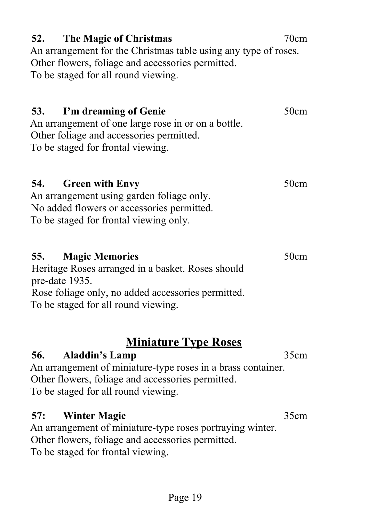### **52. The Magic of Christmas** 70cm An arrangement for the Christmas table using any type of roses. Other flowers, foliage and accessories permitted. To be staged for all round viewing.

### **53.** I'm dreaming of Genie **50cm**

An arrangement of one large rose in or on a bottle. Other foliage and accessories permitted. To be staged for frontal viewing.

**54.** Green with Envy 50cm An arrangement using garden foliage only.

No added flowers or accessories permitted. To be staged for frontal viewing only.

### **55. Magic Memories** 50cm

Heritage Roses arranged in a basket. Roses should pre-date 1935. Rose foliage only, no added accessories permitted.

To be staged for all round viewing.

### **Miniature Type Roses**

### **56. Aladdin's Lamp** 35cm

An arrangement of miniature-type roses in a brass container. Other flowers, foliage and accessories permitted. To be staged for all round viewing.

### **57: Winter Magic** 35cm

An arrangement of miniature-type roses portraying winter. Other flowers, foliage and accessories permitted. To be staged for frontal viewing.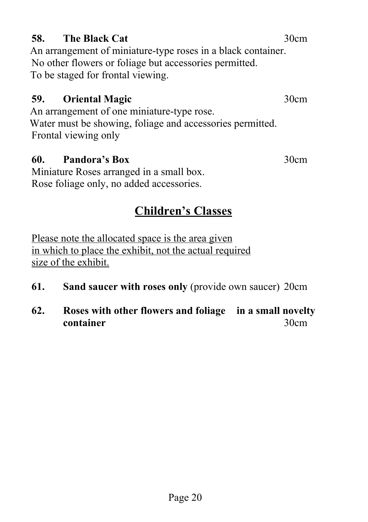### **58.** The Black Cat **30cm**

An arrangement of miniature-type roses in a black container. No other flowers or foliage but accessories permitted. To be staged for frontal viewing.

### **59. Oriental Magic** 30cm

An arrangement of one miniature-type rose. Water must be showing, foliage and accessories permitted. Frontal viewing only

### **60. Pandora's Box** 30cm

Miniature Roses arranged in a small box. Rose foliage only, no added accessories.

### **Children's Classes**

Please note the allocated space is the area given in which to place the exhibit, not the actual required size of the exhibit.

- **61. Sand saucer with roses only** (provide own saucer) 20cm
- **62. Roses with other flowers and foliage in a small novelty container** 30cm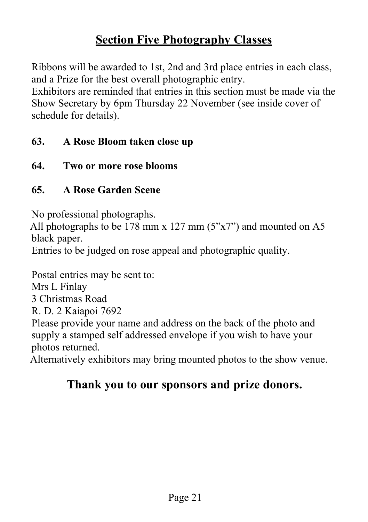### **Section Five Photography Classes**

Ribbons will be awarded to 1st, 2nd and 3rd place entries in each class, and a Prize for the best overall photographic entry.

Exhibitors are reminded that entries in this section must be made via the Show Secretary by 6pm Thursday 22 November (see inside cover of schedule for details).

### **63. A Rose Bloom taken close up**

**64. Two or more rose blooms**

### **65. A Rose Garden Scene**

No professional photographs.

All photographs to be 178 mm x 127 mm (5"x7") and mounted on A5 black paper.

Entries to be judged on rose appeal and photographic quality.

Postal entries may be sent to:

Mrs L Finlay

3 Christmas Road

R. D. 2 Kaiapoi 7692

Please provide your name and address on the back of the photo and supply a stamped self addressed envelope if you wish to have your photos returned.

Alternatively exhibitors may bring mounted photos to the show venue.

### **Thank you to our sponsors and prize donors.**